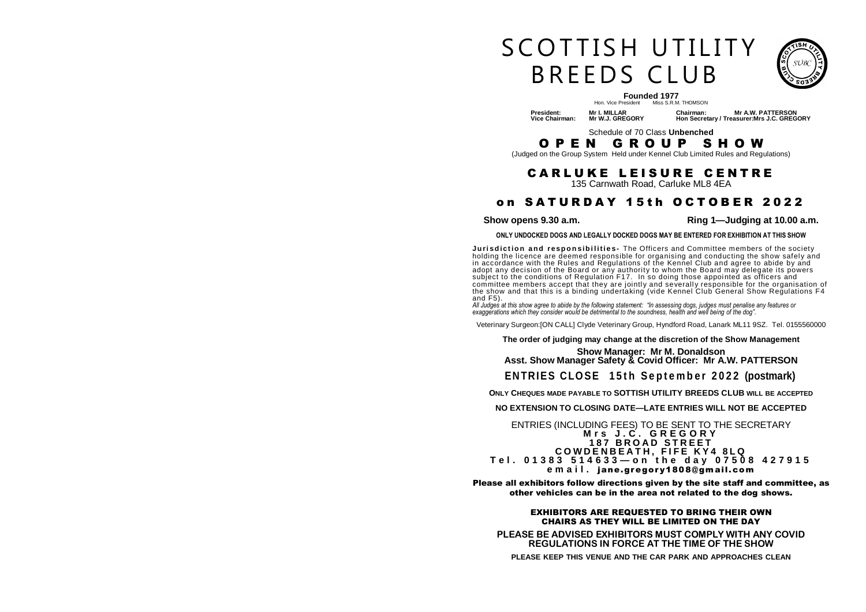# S COTTISH UTILITY B R F F D S C L U B



## **Founded 1977**<br>Hon. Vice President Miss S.R.M. THOMSON

 **President: Mr I. MILLAR Chairman: Mr A.W. PATTERSON Vice Chairman: Mr W.J. GREGORY Hon Secretary / Treasurer:Mrs J.C. GREGORY** 

Schedule of 70 Class **Unbenched** 

O P E N G R O U P S H O W

(Judged on the Group System Held under Kennel Club Limited Rules and Regulations)

## **CARLUKE LEISURE CENTRE**

135 Carnwath Road, Carluke ML8 4EA

## on SATURDAY 15th OCTOBER 2022

**Show opens 9.30 a.m. Ring 1—Judging at 10.00 a.m.** 

**ONLY UNDOCKED DOGS AND LEGALLY DOCKED DOGS MAY BE ENTERED FOR EXHIBITION AT THIS SHOW** 

**Jurisdiction and responsibilities**- The Officers and Committee members of the society holding the licence are deemed responsible for organising and conducting the show safely and in accŏrdance with the Rules and Regulations of the Kennّel Club and agree to abide by and<br>adopt any decision of the Board or any authority to whom the Board may delegate its powers subject to the conditions of Regulation F17. In so doing those appointed as officers and committee members accept that they are jointly and severall y responsible for the organisation of the show and that this is a binding undertaking (vide Kennel Club General Show Regulations F4 and F5).

*All Judges at this show agree to abide by the following statement: "In assessing dogs, judges must penalise any features or exaggerations which they consider would be detrimental to the soundness, health and well being of the dog".* 

Veterinary Surgeon:[ON CALL] Clyde Veterinary Group, Hyndford Road, Lanark ML11 9SZ. Tel. 0155560000

#### **The order of judging may change at the discretion of the Show Management**

#### **Show Manager: Mr M. Donaldson Asst. Show Manager Safety & Covid Officer: Mr A.W. PATTERSON**

## **ENTRIES CLOSE** 15th September 2022 (postmark)

**ONLY CHEQUES MADE PAYABLE TO SOTTISH UTILITY BREEDS CLUB WILL BE ACCEPTED**

**NO EXTENSION TO CLOSING DATE—LATE ENTRIES WILL NOT BE ACCEPTED** 

#### ENTRIES (INCLUDING FEES) TO BE SENT TO THE SECRETARY **M r s J . C . G R E G O R Y 1 8 7 B R O A D S T R E E T C O W D E N B E A T H , F I F E K Y 4 8 L Q T e l . 0 1 3 8 3 5 1 4 6 3 3 — o n t h e d a y 0 7 5 0 8 4 2 7 9 1 5 e m a i l .** jane.gregory1808@gmail.com

Please all exhibitors follow directions given by the site staff and committee, as other vehicles can be in the area not related to the dog shows.

#### EXHIBITORS ARE REQUESTED TO BRING THEIR OWN CHAIRS AS THEY WILL BE LIMITED ON THE DAY

**PLEASE BE ADVISED EXHIBITORS MUST COMPLY WITH ANY COVID REGULATIONS IN FORCE AT THE TIME OF THE SHOW**

**PLEASE KEEP THIS VENUE AND THE CAR PARK AND APPROACHES CLEAN**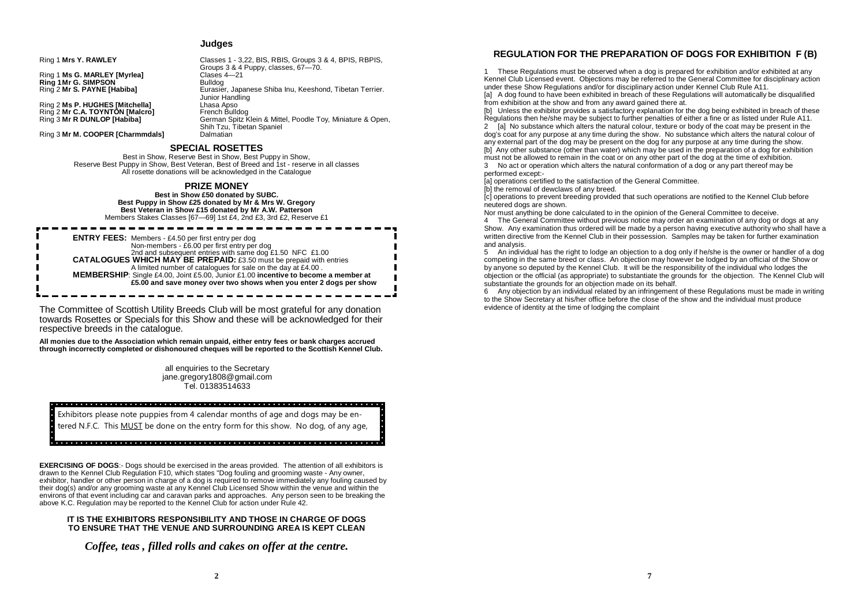#### **Judges**

Groups 3 & 4 Puppy, classes, 67—70.

Ring 2 **Mr S. PAYNE [Habiba]** Eurasier, Japanese Shiba Inu, Keeshond, Tibetan Terrier.

German Spitz Klein & Mittel, Poodle Toy, Miniature & Open,

Ring 1 **Mrs Y. RAWLEY** Classes 1 - 3,22, BIS, RBIS, Groups 3 & 4, BPIS, RBPIS,

Ring 1 **Ms G. MARLEY [Myrlea]** Clases 4<br> **Ring 1 Mr G. SIMPSON Ring 1 Mr G. SIMPSON**<br>Ring 2 Mr S. PAYNE [Habiba]

Ring 2 **Ms P. HUGHES [Mitchella]** Lhasa Apso Ring 2 **Mr C.A. TOYNTON [Malcro]**<br>Ring 3 **Mr R DUNLOP [Habiba]** 

**Ring 3 Mr M. COOPER [Charmmdals]** 

#### **SPECIAL ROSETTES**

Best in Show, Reserve Best in Show, Best Puppy in Show, Reserve Best Puppy in Show, Best Veteran, Best of Breed and 1st - reserve in all classes All rosette donations will be acknowledged in the Catalogue

Junior Handling<br>Lhasa Apso

Shih Tzu, Tibetan Spaniel<br>Dalmatian

#### **PRIZE MONEY**

**Best in Show £50 donated by SUBC. Best Puppy in Show £25 donated by Mr & Mrs W. Gregory Best Veteran in Show £15 donated by Mr A.W. Patterson**  Members Stakes Classes [67—69] 1st £4, 2nd £3, 3rd £2, Reserve £1

ENTRY FEES: Members - £4.50 per first entry per dog<br>Non-members - £6.00 per first entry per dog<br>2nd and subsequent entries with same dog £1.50 NFC £1.00<br>CATALOGUES WHICH MAY BE PREPAID: £3.50 must be prepaid with entries A limited number of catalogues for sale on the day at £4.00 . **MEMBERSHIP:** Single £4.00, Joint £5.00, Junior £1.00 **incentive to become a member at** £5.00 and save money over two shows when you enter 2 dogs per show

The Committee of Scottish Utility Breeds Club will be most grateful for any donation towards Rosettes or Specials for this Show and these will be acknowledged for their respective breeds in the catalogue.

**All monies due to the Association which remain unpaid, either entry fees or bank charges accrued through incorrectly completed or dishonoured cheques will be reported to the Scottish Kennel Club.** 

> all enquiries to the Secretary jane.gregory1808@gmail.com Tel. 01383514633

#### a a plata a algada a algabilada pia da que de a que de a alga de a para pia a a pia a a a ata a injeta de atata a la

Exhibitors please note puppies from 4 calendar months of age and dogs may be entered N.F.C. This MUST be done on the entry form for this show. No dog, of any age,

#### <u>. In provision de la condición de la condición de la condición de la condición de la condición de la condición de la condición de la condición de la condición de la condición de la condición de la condición de la condició</u>

**EXERCISING OF DOGS**:- Dogs should be exercised in the areas provided. The attention of all exhibitors is drawn to the Kennel Club Regulation F10, which states "Dog fouling and grooming waste - Any owner, exhibitor, handler or other person in charge of a dog is required to remove immediately any fouling caused by their dog(s) and/or any grooming waste at any Kennel Club Licensed Show within the venue and within the environs of that event including car and caravan parks and approaches. Any person seen to be breaking the above K.C. Regulation may be reported to the Kennel Club for action under Rule 42.

#### **IT IS THE EXHIBITORS RESPONSIBILITY AND THOSE IN CHARGE OF DOGS TO ENSURE THAT THE VENUE AND SURROUNDING AREA IS KEPT CLEAN**

*Coffee, teas , filled rolls and cakes on offer at the centre.* 

### **REGULATION FOR THE PREPARATION OF DOGS FOR EXHIBITION F (B)**

1 These Regulations must be observed when a dog is prepared for exhibition and/or exhibited at any Kennel Club Licensed event. Objections may be referred to the General Committee for disciplinary action under these Show Regulations and/or for disciplinary action under Kennel Club Rule A11.

[a] A dog found to have been exhibited in breach of these Regulations will automatically be disqualified from exhibition at the show and from any award gained there at.

[b] Unless the exhibitor provides a satisfactory explanation for the dog being exhibited in breach of these Regulations then he/she may be subject to further penalties of either a fine or as listed under Rule A11.

2 [a] No substance which alters the natural colour, texture or body of the coat may be present in the dog's coat for any purpose at any time during the show. No substance which alters the natural colour of any external part of the dog may be present on the dog for any purpose at any time during the show. [b] Any other substance (other than water) which may be used in the preparation of a dog for exhibition must not be allowed to remain in the coat or on any other part of the dog at the time of exhibition.

3 No act or operation which alters the natural conformation of a dog or any part thereof may be performed except:-

[a] operations certified to the satisfaction of the General Committee.

[b] the removal of dewclaws of any breed.

[c] operations to prevent breeding provided that such operations are notified to the Kennel Club before neutered dogs are shown.

Nor must anything be done calculated to in the opinion of the General Committee to deceive.

4 The General Committee without previous notice may order an examination of any dog or dogs at any Show. Any examination thus ordered will be made by a person having executive authority who shall have a written directive from the Kennel Club in their possession. Samples may be taken for further examination and analysis.

5 An individual has the right to lodge an objection to a dog only if he/she is the owner or handler of a dog competing in the same breed or class. An objection may however be lodged by an official of the Show or by anyone so deputed by the Kennel Club. It will be the responsibility of the individual who lodges the objection or the official (as appropriate) to substantiate the grounds for the objection. The Kennel Club will substantiate the grounds for an objection made on its behalf.

6 Any objection by an individual related by an infringement of these Regulations must be made in writing to the Show Secretary at his/her office before the close of the show and the individual must produce evidence of identity at the time of lodging the complaint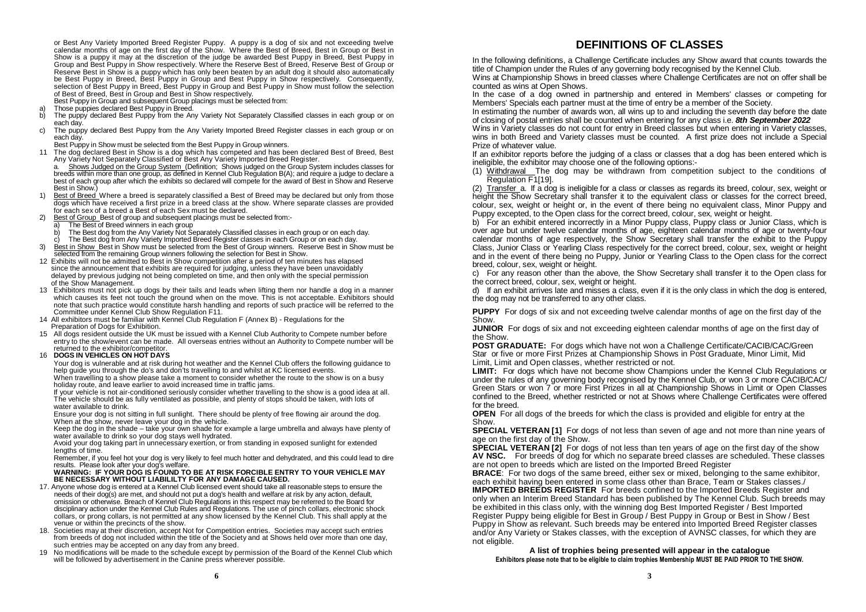or Best Any Variety Imported Breed Register Puppy. A puppy is a dog of six and not exceeding twelve calendar months of age on the first day of the Show. Where the Best of Breed, Best in Group or Best in Show is a puppy it may at the discretion of the judge be awarded Best Puppy in Breed, Best Puppy in Group and Best Puppy in Show respectively. Where the Reserve Best of Breed, Reserve Best of Group or Reserve Best in Show is a puppy which has only been beaten by an adult dog it should also automatically be Best Puppy in Breed, Best Puppy in Group and Best Puppy in Show respectively. Consequently, selection of Best Puppy in Breed, Best Puppy in Group and Best Puppy in Show must follow the selection of Best of Breed, Best in Group and Best in Show respectively.

Best Puppy in Group and subsequent Group placings must be selected from:

- a) Those puppies declared Best Puppy in Breed. b) The puppy declared Best Puppy from the Any Variety Not Separately Classified classes in each group or on each day.<br>c) The pupp
- The puppy declared Best Puppy from the Any Variety Imported Breed Register classes in each group or on each day.

Best Puppy in Show must be selected from the Best Puppy in Group winners.

11 The dog declared Best in Show is a dog which has competed and has been declared Best of Breed, Best Any Variety Not Separately Classified or Best Any Variety Imported Breed Register.

 a. Shows Judged on the Group System (Definition; Shows judged on the Group System includes classes for breeds within more than one group, as defined in Kennel Club Regulation B(A); and require a judge to declare a best of each group after which the exhibits so declared will compete for the award of Best in Show and Reserve Best in Show.)

- 1) Best of Breed Where a breed is separately classified a Best of Breed may be declared but only from those dogs which have received a first prize in a breed class at the show. Where separate classes are provided for each sex of a breed a Best of each Sex must be declared.
- Best of Group Best of group and subsequent placings must be selected from:-
- a) The Best of Breed winners in each group<br>b) The Best dog from the Any Variety Not Se
- The Best dog from the Any Variety Not Separately Classified classes in each group or on each day.
- The Best dog from Any Variety Imported Breed Register classes in each Group or on each day.
- 3) Best in Show Best in Show must be selected from the Best of Group winners. Reserve Best in Show must be selected from the remaining Group winners following the selection for Best in Show.
- 12 Exhibits will not be admitted to Best in Show competition after a period of ten minutes has elapsed since the announcement that exhibits are required for judging, unless they have been unavoidably delayed by previous judging not being completed on time, and then only with the special permission of the Show Management.
- 13 Exhibitors must not pick up dogs by their tails and leads when lifting them nor handle a dog in a manner which causes its feet not touch the ground when on the move. This is not acceptable. Exhibitors should note that such practice would constitute harsh handling and reports of such practice will be referred to the Committee under Kennel Club Show Regulation F11.
- 14 All exhibitors must be familiar with Kennel Club Regulation F (Annex B) Regulations for the Preparation of Dogs for Exhibition.
- 15 All dogs resident outside the UK must be issued with a Kennel Club Authority to Compete number before entry to the show/event can be made. All overseas entries without an Authority to Compete number will be returned to the exhibitor/competitor.
- 16 **DOGS IN VEHICLES ON HOT DAYS**

 Your dog is vulnerable and at risk during hot weather and the Kennel Club offers the following guidance to help guide you through the do's and don'ts travelling to and whilst at KC licensed events. When travelling to a show please take a moment to consider whether the route to the show is on a busy

holiday route, and leave earlier to avoid increased time in traffic jams.

 If your vehicle is not air-conditioned seriously consider whether travelling to the show is a good idea at all. The vehicle should be as fully ventilated as possible, and plenty of stops should be taken, with lots of water available to drink.

 Ensure your dog is not sitting in full sunlight. There should be plenty of free flowing air around the dog. When at the show, never leave your dog in the vehicle.

 Keep the dog in the shade – take your own shade for example a large umbrella and always have plenty of water available to drink so your dog stays well hydrated.

 Avoid your dog taking part in unnecessary exertion, or from standing in exposed sunlight for extended lengths of time.

Remember, if you feel hot your dog is very likely to feel much hotter and dehydrated, and this could lead to dire<br>results. Please look after vour dog's welfare.

#### WARNING: IF YOUR DOG IS FOUND TO BE AT RISK FORCIBLE ENTRY TO YOUR VEHICLE MAY  **BE NECESSARY WITHOUT LIABILILTY FOR ANY DAMAGE CAUSED.**

- 17. Anyone whose dog is entered at a Kennel Club licensed event should take all reasonable steps to ensure the needs of their dog(s) are met, and should not put a dog's health and welfare at risk by any action, default, omission or otherwise. Breach of Kennel Club Regulations in this respect may be referred to the Board for disciplinary action under the Kennel Club Rules and Regulations. The use of pinch collars, electronic shock collars, or prong collars, is not permitted at any show licensed by the Kennel Club. This shall apply at the venue or within the precincts of the show.<br>18. Societies may at their discretion, accept N
- Societies may at their discretion, accept Not for Competition entries. Societies may accept such entries from breeds of dog not included within the title of the Society and at Shows held over more than one day, such entries may be accepted on any day from any breed.
- 19 No modifications will be made to the schedule except by permission of the Board of the Kennel Club which will be followed by advertisement in the Canine press wherever possible.

## **DEFINITIONS OF CLASSES**

In the following definitions, a Challenge Certificate includes any Show award that counts towards the title of Champion under the Rules of any governing body recognised by the Kennel Club.

Wins at Championship Shows in breed classes where Challenge Certificates are not on offer shall be counted as wins at Open Shows.

In the case of a dog owned in partnership and entered in Members' classes or competing for Members' Specials each partner must at the time of entry be a member of the Society.

In estimating the number of awards won, all wins up to and including the seventh day before the date of closing of postal entries shall be counted when entering for any class i.e. **8th September 2022**

Wins in Variety classes do not count for entry in Breed classes but when entering in Variety classes, wins in both Breed and Variety classes must be counted. A first prize does not include a Special Prize of whatever value.

If an exhibitor reports before the judging of a class or classes that a dog has been entered which is ineligible, the exhibitor may choose one of the following options:-

(1) Withdrawal The dog may be withdrawn from competition subject to the conditions of Regulation F1[19].

(2) Transfer a. If a dog is ineligible for a class or classes as regards its breed, colour, sex, weight or height the Show Secretary shall transfer it to the equivalent class or classes for the correct breed, colour, sex, weight or height or, in the event of there being no equivalent class, Minor Puppy and Puppy excepted, to the Open class for the correct breed, colour, sex, weight or height.

b) For an exhibit entered incorrectly in a Minor Puppy class, Puppy class or Junior Class, which is over age but under twelve calendar months of age, eighteen calendar months of age or twenty-four calendar months of age respectively, the Show Secretary shall transfer the exhibit to the Puppy Class, Junior Class or Yearling Class respectively for the correct breed, colour, sex, weight or height and in the event of there being no Puppy, Junior or Yearling Class to the Open class for the correct breed, colour, sex, weight or height.

c) For any reason other than the above, the Show Secretary shall transfer it to the Open class for the correct breed, colour, sex, weight or height.

d) If an exhibit arrives late and misses a class, even if it is the only class in which the dog is entered, the dog may not be transferred to any other class.

**PUPPY** For dogs of six and not exceeding twelve calendar months of age on the first day of the Show.

**JUNIOR** For dogs of six and not exceeding eighteen calendar months of age on the first day of the Show.

**POST GRADUATE:** For dogs which have not won a Challenge Certificate/CACIB/CAC/Green Star or five or more First Prizes at Championship Shows in Post Graduate, Minor Limit, Mid Limit, Limit and Open classes, whether restricted or not.

**LIMIT:** For dogs which have not become show Champions under the Kennel Club Regulations or under the rules of any governing body recognised by the Kennel Club, or won 3 or more CACIB/CAC/ Green Stars or won 7 or more First Prizes in all at Championship Shows in Limit or Open Classes confined to the Breed, whether restricted or not at Shows where Challenge Certificates were offered for the breed.

**OPEN** For all dogs of the breeds for which the class is provided and eligible for entry at the Show.

**SPECIAL VETERAN [1]** For dogs of not less than seven of age and not more than nine years of age on the first day of the Show.

**SPECIAL VETERAN [2]** For dogs of not less than ten years of age on the first day of the show **AV NSC.** For breeds of dog for which no separate breed classes are scheduled. These classes are not open to breeds which are listed on the Imported Breed Register

**BRACE:** For two dogs of the same breed, either sex or mixed, belonging to the same exhibitor, each exhibit having been entered in some class other than Brace, Team or Stakes classes./

**IMPORTED BREEDS REGISTER** For breeds confined to the Imported Breeds Register and only when an Interim Breed Standard has been published by The Kennel Club. Such breeds may be exhibited in this class only, with the winning dog Best Imported Register / Best Imported Register Puppy being eligible for Best in Group / Best Puppy in Group or Best in Show / Best Puppy in Show as relevant. Such breeds may be entered into Imported Breed Register classes and/or Any Variety or Stakes classes, with the exception of AVNSC classes, for which they are not eligible.

**A list of trophies being presented will appear in the catalogue Exhibitors please note that to be eligible to claim trophies Membership MUST BE PAID PRIOR TO THE SHOW.**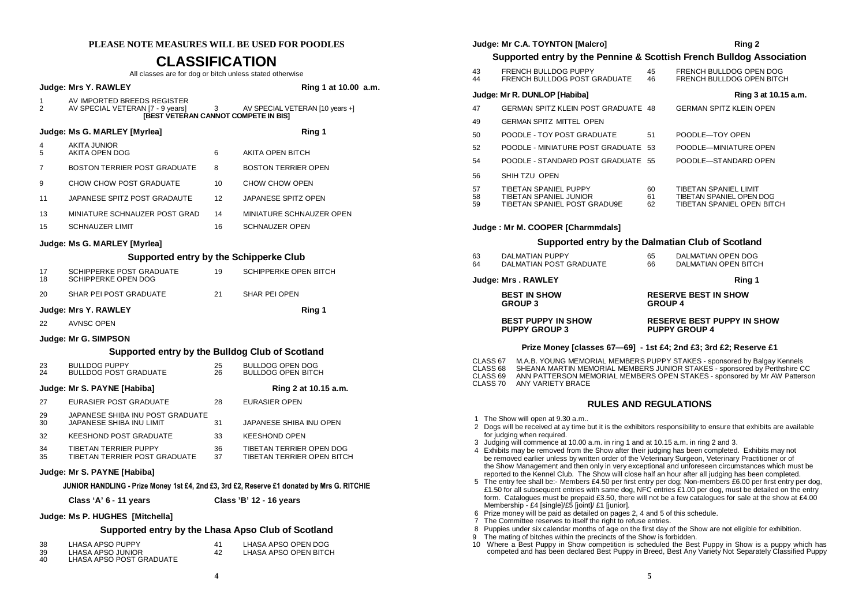## **PLEASE NOTE MEASURES WILL BE USED FOR POODLES**

## **CLASSIFICATION**

| <b>CLASSIFICATION</b><br>All classes are for dog or bitch unless stated otherwise          |                                                                                                                |                                 |                                                        |  |  |  |  |  |
|--------------------------------------------------------------------------------------------|----------------------------------------------------------------------------------------------------------------|---------------------------------|--------------------------------------------------------|--|--|--|--|--|
| Judge: Mrs Y. RAWLEY<br>Ring 1 at 10.00 a.m.                                               |                                                                                                                |                                 |                                                        |  |  |  |  |  |
| 1<br>$\overline{2}$                                                                        | AV IMPORTED BREEDS REGISTER<br>AV SPECIAL VETERAN [7 - 9 years]<br><b>IBEST VETERAN CANNOT COMPETE IN BIST</b> | AV SPECIAL VETERAN [10 years +] |                                                        |  |  |  |  |  |
| Judge: Ms G. MARLEY [Myrlea]<br>Ring 1                                                     |                                                                                                                |                                 |                                                        |  |  |  |  |  |
| 4<br>5                                                                                     | <b>AKITA JUNIOR</b><br>AKITA OPEN DOG                                                                          | 6                               | AKITA OPEN BITCH                                       |  |  |  |  |  |
| 7                                                                                          | BOSTON TERRIER POST GRADUATE                                                                                   | 8                               | <b>BOSTON TERRIER OPEN</b>                             |  |  |  |  |  |
| 9                                                                                          | CHOW CHOW POST GRADUATE                                                                                        | 10                              | CHOW CHOW OPEN                                         |  |  |  |  |  |
| 11                                                                                         | JAPANESE SPITZ POST GRADAUTE                                                                                   | 12                              | JAPANESE SPITZ OPEN                                    |  |  |  |  |  |
| 13                                                                                         | MINIATURE SCHNAUZER POST GRAD                                                                                  | 14                              | MINIATURE SCHNAUZER OPEN                               |  |  |  |  |  |
| 15                                                                                         | <b>SCHNAUZER LIMIT</b>                                                                                         | 16                              | SCHNAUZER OPEN                                         |  |  |  |  |  |
|                                                                                            | Judge: Ms G. MARLEY [Myrlea]                                                                                   |                                 |                                                        |  |  |  |  |  |
|                                                                                            | Supported entry by the Schipperke Club                                                                         |                                 |                                                        |  |  |  |  |  |
| 17<br>18                                                                                   | SCHIPPERKE POST GRADUATE<br>SCHIPPERKE OPEN DOG                                                                | 19                              | SCHIPPERKE OPEN BITCH                                  |  |  |  |  |  |
| 20                                                                                         | SHAR PEI POST GRADUATE                                                                                         | 21                              | SHAR PEI OPEN                                          |  |  |  |  |  |
|                                                                                            | Judge: Mrs Y. RAWLEY                                                                                           | Ring 1                          |                                                        |  |  |  |  |  |
| 22                                                                                         | <b>AVNSC OPEN</b>                                                                                              |                                 |                                                        |  |  |  |  |  |
|                                                                                            | Judge: Mr G. SIMPSON                                                                                           |                                 |                                                        |  |  |  |  |  |
|                                                                                            | Supported entry by the Bulldog Club of Scotland                                                                |                                 |                                                        |  |  |  |  |  |
| 23<br>24                                                                                   | <b>BULLDOG PUPPY</b><br><b>BULLDOG POST GRADUATE</b>                                                           | 25<br>26                        | <b>BULLDOG OPEN DOG</b><br><b>BULLDOG OPEN BITCH</b>   |  |  |  |  |  |
|                                                                                            | Judge: Mr S. PAYNE [Habiba]                                                                                    |                                 | Ring 2 at 10.15 a.m.                                   |  |  |  |  |  |
| 27                                                                                         | EURASIER POST GRADUATE                                                                                         | 28                              | <b>EURASIER OPEN</b>                                   |  |  |  |  |  |
| 29<br>30                                                                                   | JAPANESE SHIBA INU POST GRADUATE<br>JAPANESE SHIBA INU LIMIT                                                   | 31                              | JAPANESE SHIBA INU OPEN                                |  |  |  |  |  |
| 32                                                                                         | <b>KEESHOND POST GRADUATE</b>                                                                                  | 33                              | <b>KEESHOND OPEN</b>                                   |  |  |  |  |  |
| 34<br>35                                                                                   | TIBETAN TERRIER PUPPY<br>TIBETAN TERRIER POST GRADUATE                                                         | 36<br>37                        | TIBETAN TERRIER OPEN DOG<br>TIBETAN TERRIER OPEN BITCH |  |  |  |  |  |
| Judge: Mr S. PAYNE [Habiba]                                                                |                                                                                                                |                                 |                                                        |  |  |  |  |  |
| JUNIOR HANDLING - Prize Money 1st £4, 2nd £3, 3rd £2, Reserve £1 donated by Mrs G. RITCHIE |                                                                                                                |                                 |                                                        |  |  |  |  |  |
|                                                                                            | Class 'A' 6 - 11 years<br>Class 'B' 12 - 16 years                                                              |                                 |                                                        |  |  |  |  |  |

**Judge: Ms P. HUGHES [Mitchella]** 

**Supported entry by the Lhasa Apso Club of Scotland** 

| 38 | LHASA APSO PUPPY         |    | LHASA APSO OPEN DOG   |
|----|--------------------------|----|-----------------------|
| 39 | LHASA APSO JUNIOR        | 42 | LHASA APSO OPEN BITCH |
| 40 | LHASA APSO POST GRADUATE |    |                       |

|                                                                      | Judge: Mr C.A. TOYNTON [Malcro]                                                                                                                                                                                                                                                                                                                                                                                                                                                                                                                                                                                                                                                                                                                                                                                                                                                                                                                                                                                    |                                | Ring 2                                                                                                                                                                                                                             |  |  |  |  |
|----------------------------------------------------------------------|--------------------------------------------------------------------------------------------------------------------------------------------------------------------------------------------------------------------------------------------------------------------------------------------------------------------------------------------------------------------------------------------------------------------------------------------------------------------------------------------------------------------------------------------------------------------------------------------------------------------------------------------------------------------------------------------------------------------------------------------------------------------------------------------------------------------------------------------------------------------------------------------------------------------------------------------------------------------------------------------------------------------|--------------------------------|------------------------------------------------------------------------------------------------------------------------------------------------------------------------------------------------------------------------------------|--|--|--|--|
| Supported entry by the Pennine & Scottish French Bulldog Association |                                                                                                                                                                                                                                                                                                                                                                                                                                                                                                                                                                                                                                                                                                                                                                                                                                                                                                                                                                                                                    |                                |                                                                                                                                                                                                                                    |  |  |  |  |
| 43<br>44                                                             | FRENCH BULLDOG PUPPY<br>FRENCH BULLDOG POST GRADUATE                                                                                                                                                                                                                                                                                                                                                                                                                                                                                                                                                                                                                                                                                                                                                                                                                                                                                                                                                               | 45<br>46                       | FRENCH BULLDOG OPEN DOG<br>FRENCH BULLDOG OPEN BITCH                                                                                                                                                                               |  |  |  |  |
|                                                                      | Judge: Mr R. DUNLOP [Habiba]                                                                                                                                                                                                                                                                                                                                                                                                                                                                                                                                                                                                                                                                                                                                                                                                                                                                                                                                                                                       |                                | Ring 3 at 10.15 a.m.                                                                                                                                                                                                               |  |  |  |  |
| 47                                                                   | GERMAN SPITZ KLEIN POST GRADUATE 48                                                                                                                                                                                                                                                                                                                                                                                                                                                                                                                                                                                                                                                                                                                                                                                                                                                                                                                                                                                | <b>GERMAN SPITZ KLEIN OPEN</b> |                                                                                                                                                                                                                                    |  |  |  |  |
| 49                                                                   | <b>GERMAN SPITZ MITTEL OPEN</b>                                                                                                                                                                                                                                                                                                                                                                                                                                                                                                                                                                                                                                                                                                                                                                                                                                                                                                                                                                                    |                                |                                                                                                                                                                                                                                    |  |  |  |  |
| 50                                                                   | POODLE - TOY POST GRADUATE                                                                                                                                                                                                                                                                                                                                                                                                                                                                                                                                                                                                                                                                                                                                                                                                                                                                                                                                                                                         | 51                             | POODLE-TOY OPEN                                                                                                                                                                                                                    |  |  |  |  |
| 52                                                                   | POODLE - MINIATURE POST GRADUATE 53                                                                                                                                                                                                                                                                                                                                                                                                                                                                                                                                                                                                                                                                                                                                                                                                                                                                                                                                                                                |                                | POODLE-MINIATURE OPEN                                                                                                                                                                                                              |  |  |  |  |
| 54                                                                   | POODLE - STANDARD POST GRADUATE 55                                                                                                                                                                                                                                                                                                                                                                                                                                                                                                                                                                                                                                                                                                                                                                                                                                                                                                                                                                                 |                                | POODLE-STANDARD OPEN                                                                                                                                                                                                               |  |  |  |  |
| 56                                                                   | SHIH TZU OPEN                                                                                                                                                                                                                                                                                                                                                                                                                                                                                                                                                                                                                                                                                                                                                                                                                                                                                                                                                                                                      |                                |                                                                                                                                                                                                                                    |  |  |  |  |
| 57<br>58<br>59                                                       | TIBETAN SPANIEL PUPPY<br>TIBETAN SPANIEL JUNIOR<br>TIBETAN SPANIEL POST GRADU9E                                                                                                                                                                                                                                                                                                                                                                                                                                                                                                                                                                                                                                                                                                                                                                                                                                                                                                                                    | 60<br>61<br>62                 | TIBETAN SPANIEL LIMIT<br>TIBETAN SPANIEL OPEN DOG<br>TIBETAN SPANIEL OPEN BITCH                                                                                                                                                    |  |  |  |  |
|                                                                      | Judge: Mr M. COOPER [Charmmdals]                                                                                                                                                                                                                                                                                                                                                                                                                                                                                                                                                                                                                                                                                                                                                                                                                                                                                                                                                                                   |                                |                                                                                                                                                                                                                                    |  |  |  |  |
|                                                                      | Supported entry by the Dalmatian Club of Scotland                                                                                                                                                                                                                                                                                                                                                                                                                                                                                                                                                                                                                                                                                                                                                                                                                                                                                                                                                                  |                                |                                                                                                                                                                                                                                    |  |  |  |  |
| 63<br>64                                                             | <b>DALMATIAN PUPPY</b><br>DALMATIAN POST GRADUATE                                                                                                                                                                                                                                                                                                                                                                                                                                                                                                                                                                                                                                                                                                                                                                                                                                                                                                                                                                  | 65<br>66                       | DALMATIAN OPEN DOG<br><b>DALMATIAN OPEN BITCH</b>                                                                                                                                                                                  |  |  |  |  |
|                                                                      | Judge: Mrs . RAWLEY                                                                                                                                                                                                                                                                                                                                                                                                                                                                                                                                                                                                                                                                                                                                                                                                                                                                                                                                                                                                |                                | Ring 1                                                                                                                                                                                                                             |  |  |  |  |
|                                                                      | <b>BEST IN SHOW</b><br><b>GROUP 3</b>                                                                                                                                                                                                                                                                                                                                                                                                                                                                                                                                                                                                                                                                                                                                                                                                                                                                                                                                                                              |                                | <b>RESERVE BEST IN SHOW</b><br><b>GROUP 4</b>                                                                                                                                                                                      |  |  |  |  |
|                                                                      |                                                                                                                                                                                                                                                                                                                                                                                                                                                                                                                                                                                                                                                                                                                                                                                                                                                                                                                                                                                                                    |                                |                                                                                                                                                                                                                                    |  |  |  |  |
|                                                                      | <b>BEST PUPPY IN SHOW</b><br><b>PUPPY GROUP 3</b>                                                                                                                                                                                                                                                                                                                                                                                                                                                                                                                                                                                                                                                                                                                                                                                                                                                                                                                                                                  |                                | <b>RESERVE BEST PUPPY IN SHOW</b><br><b>PUPPY GROUP 4</b>                                                                                                                                                                          |  |  |  |  |
|                                                                      | Prize Money [classes $67-69$ ] - 1st £4; 2nd £3; 3rd £2; Reserve £1                                                                                                                                                                                                                                                                                                                                                                                                                                                                                                                                                                                                                                                                                                                                                                                                                                                                                                                                                |                                |                                                                                                                                                                                                                                    |  |  |  |  |
| CLASS 67<br>CLASS <sub>68</sub><br>CLASS <sub>69</sub><br>CLASS 70   | ANY VARIETY BRACE                                                                                                                                                                                                                                                                                                                                                                                                                                                                                                                                                                                                                                                                                                                                                                                                                                                                                                                                                                                                  |                                | M.A.B. YOUNG MEMORIAL MEMBERS PUPPY STAKES - sponsored by Balgay Kennels<br>SHEANA MARTIN MEMORIAL MEMBERS JUNIOR STAKES - sponsored by Perthshire CC<br>ANN PATTERSON MEMORIAL MEMBERS OPEN STAKES - sponsored by Mr AW Patterson |  |  |  |  |
|                                                                      | <b>RULES AND REGULATIONS</b>                                                                                                                                                                                                                                                                                                                                                                                                                                                                                                                                                                                                                                                                                                                                                                                                                                                                                                                                                                                       |                                |                                                                                                                                                                                                                                    |  |  |  |  |
|                                                                      | 1 The Show will open at 9.30 a.m<br>2 Dogs will be received at ay time but it is the exhibitors responsibility to ensure that exhibits are available<br>for judging when required.<br>3 Judging will commence at 10.00 a.m. in ring 1 and at 10.15 a.m. in ring 2 and 3.<br>4 Exhibits may be removed from the Show after their judging has been completed. Exhibits may not<br>be removed earlier unless by written order of the Veterinary Surgeon, Veterinary Practitioner or of<br>the Show Management and then only in very exceptional and unforeseen circumstances which must be<br>reported to the Kennel Club. The Show will close half an hour after all judging has been completed.<br>form. Catalogues must be prepaid £3.50, there will not be a few catalogues for sale at the show at £4.00<br>Membership - £4 [single]/£5 [joint]/ £1 [junior].<br>6 Prize money will be paid as detailed on pages 2, 4 and 5 of this schedule.<br>7 The Committee reserves to itself the right to refuse entries. |                                | 5 The entry fee shall be:- Members £4.50 per first entry per dog; Non-members £6.00 per first entry per dog,<br>£1.50 for all subsequent entries with same dog, NFC entries £1.00 per dog, must be detailed on the entry           |  |  |  |  |

- 
- 8 Puppies under six calendar months of age on the first day of the Show are not eligible for exhibition.<br>10 The mating of bitches within the precincts of the Show is forbidden.<br>10 Where a Best Puppy in Show competition is